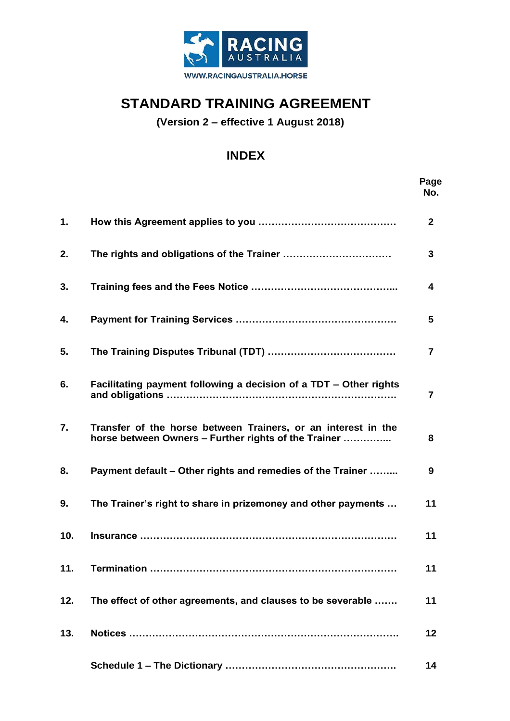

# **STANDARD TRAINING AGREEMENT**

**(Version 2 – effective 1 August 2018)**

# **INDEX**

|     |                                                                                                                       | Page<br>No.  |
|-----|-----------------------------------------------------------------------------------------------------------------------|--------------|
| 1.  |                                                                                                                       | $\mathbf{2}$ |
| 2.  |                                                                                                                       | 3            |
| 3.  |                                                                                                                       | 4            |
| 4.  |                                                                                                                       | 5            |
| 5.  |                                                                                                                       | 7            |
| 6.  | Facilitating payment following a decision of a TDT - Other rights                                                     | 7            |
| 7.  | Transfer of the horse between Trainers, or an interest in the<br>horse between Owners - Further rights of the Trainer | 8            |
| 8.  | Payment default – Other rights and remedies of the Trainer                                                            | 9            |
| 9.  | The Trainer's right to share in prizemoney and other payments                                                         | 11           |
| 10. |                                                                                                                       | 11           |
| 11. |                                                                                                                       | 11           |
| 12. | The effect of other agreements, and clauses to be severable                                                           | 11           |
| 13. |                                                                                                                       | 12           |
|     |                                                                                                                       | 14           |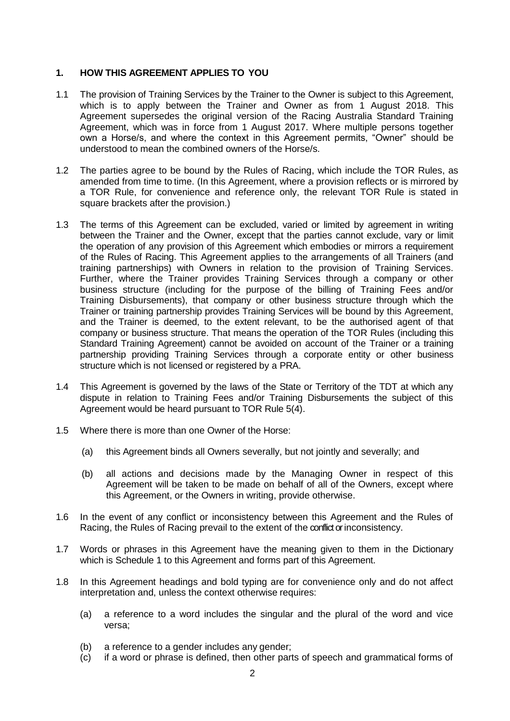#### **1. HOW THIS AGREEMENT APPLIES TO YOU**

- 1.1 The provision of Training Services by the Trainer to the Owner is subject to this Agreement, which is to apply between the Trainer and Owner as from 1 August 2018. This Agreement supersedes the original version of the Racing Australia Standard Training Agreement, which was in force from 1 August 2017. Where multiple persons together own a Horse/s, and where the context in this Agreement permits, "Owner" should be understood to mean the combined owners of the Horse/s.
- 1.2 The parties agree to be bound by the Rules of Racing, which include the TOR Rules, as amended from time to time. (In this Agreement, where a provision reflects or is mirrored by a TOR Rule, for convenience and reference only, the relevant TOR Rule is stated in square brackets after the provision.)
- 1.3 The terms of this Agreement can be excluded, varied or limited by agreement in writing between the Trainer and the Owner, except that the parties cannot exclude, vary or limit the operation of any provision of this Agreement which embodies or mirrors a requirement of the Rules of Racing. This Agreement applies to the arrangements of all Trainers (and training partnerships) with Owners in relation to the provision of Training Services. Further, where the Trainer provides Training Services through a company or other business structure (including for the purpose of the billing of Training Fees and/or Training Disbursements), that company or other business structure through which the Trainer or training partnership provides Training Services will be bound by this Agreement, and the Trainer is deemed, to the extent relevant, to be the authorised agent of that company or business structure. That means the operation of the TOR Rules (including this Standard Training Agreement) cannot be avoided on account of the Trainer or a training partnership providing Training Services through a corporate entity or other business structure which is not licensed or registered by a PRA.
- 1.4 This Agreement is governed by the laws of the State or Territory of the TDT at which any dispute in relation to Training Fees and/or Training Disbursements the subject of this Agreement would be heard pursuant to TOR Rule 5(4).
- 1.5 Where there is more than one Owner of the Horse:
	- (a) this Agreement binds all Owners severally, but not jointly and severally; and
	- (b) all actions and decisions made by the Managing Owner in respect of this Agreement will be taken to be made on behalf of all of the Owners, except where this Agreement, or the Owners in writing, provide otherwise.
- 1.6 In the event of any conflict or inconsistency between this Agreement and the Rules of Racing, the Rules of Racing prevail to the extent of the conflict or inconsistency.
- 1.7 Words or phrases in this Agreement have the meaning given to them in the Dictionary which is Schedule 1 to this Agreement and forms part of this Agreement.
- 1.8 In this Agreement headings and bold typing are for convenience only and do not affect interpretation and, unless the context otherwise requires:
	- (a) a reference to a word includes the singular and the plural of the word and vice versa;
	- (b) a reference to a gender includes any gender;
	- (c) if a word or phrase is defined, then other parts of speech and grammatical forms of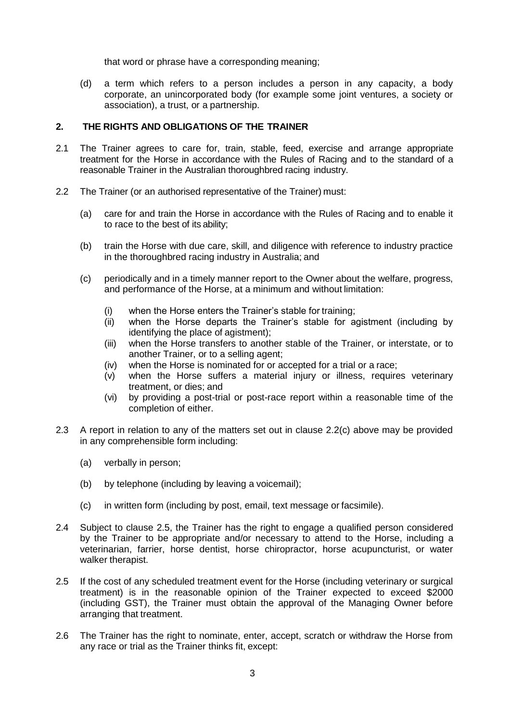that word or phrase have a corresponding meaning;

(d) a term which refers to a person includes a person in any capacity, a body corporate, an unincorporated body (for example some joint ventures, a society or association), a trust, or a partnership.

# **2. THE RIGHTS AND OBLIGATIONS OF THE TRAINER**

- 2.1 The Trainer agrees to care for, train, stable, feed, exercise and arrange appropriate treatment for the Horse in accordance with the Rules of Racing and to the standard of a reasonable Trainer in the Australian thoroughbred racing industry.
- 2.2 The Trainer (or an authorised representative of the Trainer) must:
	- (a) care for and train the Horse in accordance with the Rules of Racing and to enable it to race to the best of its ability;
	- (b) train the Horse with due care, skill, and diligence with reference to industry practice in the thoroughbred racing industry in Australia; and
	- (c) periodically and in a timely manner report to the Owner about the welfare, progress, and performance of the Horse, at a minimum and without limitation:
		- (i) when the Horse enters the Trainer's stable for training;
		- (ii) when the Horse departs the Trainer's stable for agistment (including by identifying the place of agistment);
		- (iii) when the Horse transfers to another stable of the Trainer, or interstate, or to another Trainer, or to a selling agent;
		- (iv) when the Horse is nominated for or accepted for a trial or a race;
		- (v) when the Horse suffers a material injury or illness, requires veterinary treatment, or dies; and
		- (vi) by providing a post-trial or post-race report within a reasonable time of the completion of either.
- 2.3 A report in relation to any of the matters set out in clause 2.2(c) above may be provided in any comprehensible form including:
	- (a) verbally in person;
	- (b) by telephone (including by leaving a voicemail);
	- (c) in written form (including by post, email, text message or facsimile).
- 2.4 Subject to clause 2.5, the Trainer has the right to engage a qualified person considered by the Trainer to be appropriate and/or necessary to attend to the Horse, including a veterinarian, farrier, horse dentist, horse chiropractor, horse acupuncturist, or water walker therapist.
- 2.5 If the cost of any scheduled treatment event for the Horse (including veterinary or surgical treatment) is in the reasonable opinion of the Trainer expected to exceed \$2000 (including GST), the Trainer must obtain the approval of the Managing Owner before arranging that treatment.
- 2.6 The Trainer has the right to nominate, enter, accept, scratch or withdraw the Horse from any race or trial as the Trainer thinks fit, except: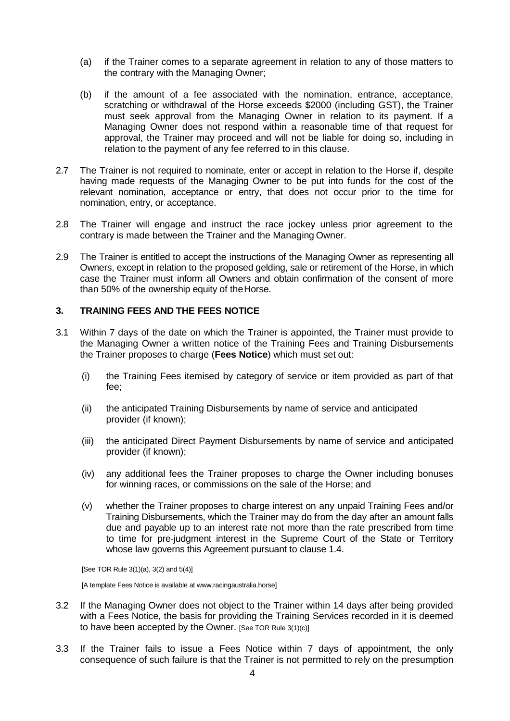- (a) if the Trainer comes to a separate agreement in relation to any of those matters to the contrary with the Managing Owner;
- (b) if the amount of a fee associated with the nomination, entrance, acceptance, scratching or withdrawal of the Horse exceeds \$2000 (including GST), the Trainer must seek approval from the Managing Owner in relation to its payment. If a Managing Owner does not respond within a reasonable time of that request for approval, the Trainer may proceed and will not be liable for doing so, including in relation to the payment of any fee referred to in this clause.
- 2.7 The Trainer is not required to nominate, enter or accept in relation to the Horse if, despite having made requests of the Managing Owner to be put into funds for the cost of the relevant nomination, acceptance or entry, that does not occur prior to the time for nomination, entry, or acceptance.
- 2.8 The Trainer will engage and instruct the race jockey unless prior agreement to the contrary is made between the Trainer and the Managing Owner.
- 2.9 The Trainer is entitled to accept the instructions of the Managing Owner as representing all Owners, except in relation to the proposed gelding, sale or retirement of the Horse, in which case the Trainer must inform all Owners and obtain confirmation of the consent of more than 50% of the ownership equity of theHorse.

# **3. TRAINING FEES AND THE FEES NOTICE**

- 3.1 Within 7 days of the date on which the Trainer is appointed, the Trainer must provide to the Managing Owner a written notice of the Training Fees and Training Disbursements the Trainer proposes to charge (**Fees Notice**) which must set out:
	- (i) the Training Fees itemised by category of service or item provided as part of that fee;
	- (ii) the anticipated Training Disbursements by name of service and anticipated provider (if known);
	- (iii) the anticipated Direct Payment Disbursements by name of service and anticipated provider (if known);
	- (iv) any additional fees the Trainer proposes to charge the Owner including bonuses for winning races, or commissions on the sale of the Horse; and
	- (v) whether the Trainer proposes to charge interest on any unpaid Training Fees and/or Training Disbursements, which the Trainer may do from the day after an amount falls due and payable up to an interest rate not more than the rate prescribed from time to time for pre-judgment interest in the Supreme Court of the State or Territory whose law governs this Agreement pursuant to clause 1.4.

[See TOR Rule 3(1)(a), 3(2) and 5(4)]

[A template Fees Notice is available at www.racingaustralia.horse]

- 3.2 If the Managing Owner does not object to the Trainer within 14 days after being provided with a Fees Notice, the basis for providing the Training Services recorded in it is deemed to have been accepted by the Owner. [See TOR Rule  $3(1)(c)$ ]
- 3.3 If the Trainer fails to issue a Fees Notice within 7 days of appointment, the only consequence of such failure is that the Trainer is not permitted to rely on the presumption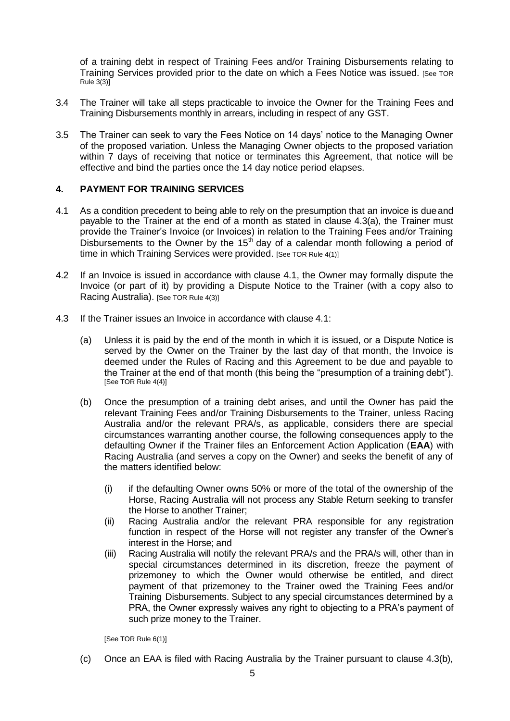of a training debt in respect of Training Fees and/or Training Disbursements relating to Training Services provided prior to the date on which a Fees Notice was issued. [See TOR Rule 3(3)]

- 3.4 The Trainer will take all steps practicable to invoice the Owner for the Training Fees and Training Disbursements monthly in arrears, including in respect of any GST.
- 3.5 The Trainer can seek to vary the Fees Notice on 14 days' notice to the Managing Owner of the proposed variation. Unless the Managing Owner objects to the proposed variation within 7 days of receiving that notice or terminates this Agreement, that notice will be effective and bind the parties once the 14 day notice period elapses.

# **4. PAYMENT FOR TRAINING SERVICES**

- 4.1 As a condition precedent to being able to rely on the presumption that an invoice is dueand payable to the Trainer at the end of a month as stated in clause 4.3(a), the Trainer must provide the Trainer's Invoice (or Invoices) in relation to the Training Fees and/or Training Disbursements to the Owner by the  $15<sup>th</sup>$  day of a calendar month following a period of time in which Training Services were provided. [See TOR Rule 4(1)]
- 4.2 If an Invoice is issued in accordance with clause 4.1, the Owner may formally dispute the Invoice (or part of it) by providing a Dispute Notice to the Trainer (with a copy also to Racing Australia). [See TOR Rule 4(3)]
- 4.3 If the Trainer issues an Invoice in accordance with clause 4.1:
	- (a) Unless it is paid by the end of the month in which it is issued, or a Dispute Notice is served by the Owner on the Trainer by the last day of that month, the Invoice is deemed under the Rules of Racing and this Agreement to be due and payable to the Trainer at the end of that month (this being the "presumption of a training debt"). [See TOR Rule 4(4)]
	- (b) Once the presumption of a training debt arises, and until the Owner has paid the relevant Training Fees and/or Training Disbursements to the Trainer, unless Racing Australia and/or the relevant PRA/s, as applicable, considers there are special circumstances warranting another course, the following consequences apply to the defaulting Owner if the Trainer files an Enforcement Action Application (**EAA**) with Racing Australia (and serves a copy on the Owner) and seeks the benefit of any of the matters identified below:
		- (i) if the defaulting Owner owns 50% or more of the total of the ownership of the Horse, Racing Australia will not process any Stable Return seeking to transfer the Horse to another Trainer;
		- (ii) Racing Australia and/or the relevant PRA responsible for any registration function in respect of the Horse will not register any transfer of the Owner's interest in the Horse; and
		- (iii) Racing Australia will notify the relevant PRA/s and the PRA/s will, other than in special circumstances determined in its discretion, freeze the payment of prizemoney to which the Owner would otherwise be entitled, and direct payment of that prizemoney to the Trainer owed the Training Fees and/or Training Disbursements. Subject to any special circumstances determined by a PRA, the Owner expressly waives any right to objecting to a PRA's payment of such prize money to the Trainer.

[See TOR Rule 6(1)]

(c) Once an EAA is filed with Racing Australia by the Trainer pursuant to clause 4.3(b),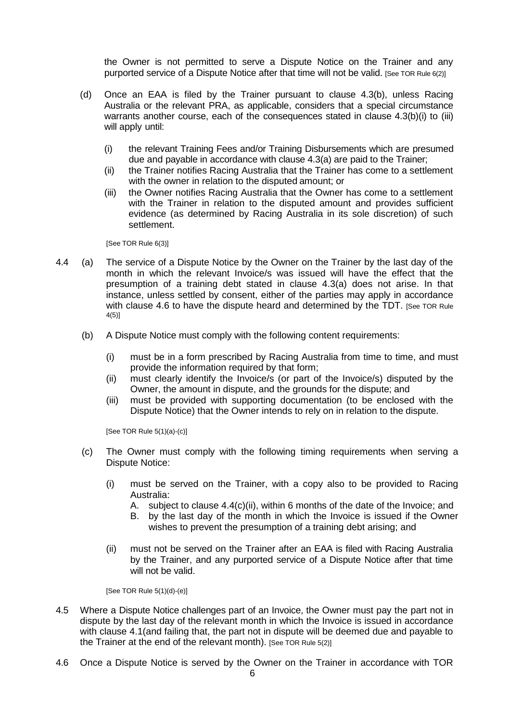the Owner is not permitted to serve a Dispute Notice on the Trainer and any purported service of a Dispute Notice after that time will not be valid. [See TOR Rule 6(2)]

- (d) Once an EAA is filed by the Trainer pursuant to clause 4.3(b), unless Racing Australia or the relevant PRA, as applicable, considers that a special circumstance warrants another course, each of the consequences stated in clause 4.3(b)(i) to (iii) will apply until:
	- (i) the relevant Training Fees and/or Training Disbursements which are presumed due and payable in accordance with clause 4.3(a) are paid to the Trainer;
	- (ii) the Trainer notifies Racing Australia that the Trainer has come to a settlement with the owner in relation to the disputed amount; or
	- (iii) the Owner notifies Racing Australia that the Owner has come to a settlement with the Trainer in relation to the disputed amount and provides sufficient evidence (as determined by Racing Australia in its sole discretion) of such settlement.

[See TOR Rule 6(3)]

- 4.4 (a) The service of a Dispute Notice by the Owner on the Trainer by the last day of the month in which the relevant Invoice/s was issued will have the effect that the presumption of a training debt stated in clause 4.3(a) does not arise. In that instance, unless settled by consent, either of the parties may apply in accordance with clause 4.6 to have the dispute heard and determined by the TDT. [See TOR Rule 4(5)]
	- (b) A Dispute Notice must comply with the following content requirements:
		- (i) must be in a form prescribed by Racing Australia from time to time, and must provide the information required by that form;
		- (ii) must clearly identify the Invoice/s (or part of the Invoice/s) disputed by the Owner, the amount in dispute, and the grounds for the dispute; and
		- (iii) must be provided with supporting documentation (to be enclosed with the Dispute Notice) that the Owner intends to rely on in relation to the dispute.

[See TOR Rule 5(1)(a)-(c)]

- (c) The Owner must comply with the following timing requirements when serving a Dispute Notice:
	- (i) must be served on the Trainer, with a copy also to be provided to Racing Australia:
		- A. subject to clause 4.4(c)(ii), within 6 months of the date of the Invoice; and
		- B. by the last day of the month in which the Invoice is issued if the Owner wishes to prevent the presumption of a training debt arising; and
	- (ii) must not be served on the Trainer after an EAA is filed with Racing Australia by the Trainer, and any purported service of a Dispute Notice after that time will not be valid.

[See TOR Rule 5(1)(d)-(e)]

- 4.5 Where a Dispute Notice challenges part of an Invoice, the Owner must pay the part not in dispute by the last day of the relevant month in which the Invoice is issued in accordance with clause 4.1(and failing that, the part not in dispute will be deemed due and payable to the Trainer at the end of the relevant month). [See TOR Rule 5(2)]
- 4.6 Once a Dispute Notice is served by the Owner on the Trainer in accordance with TOR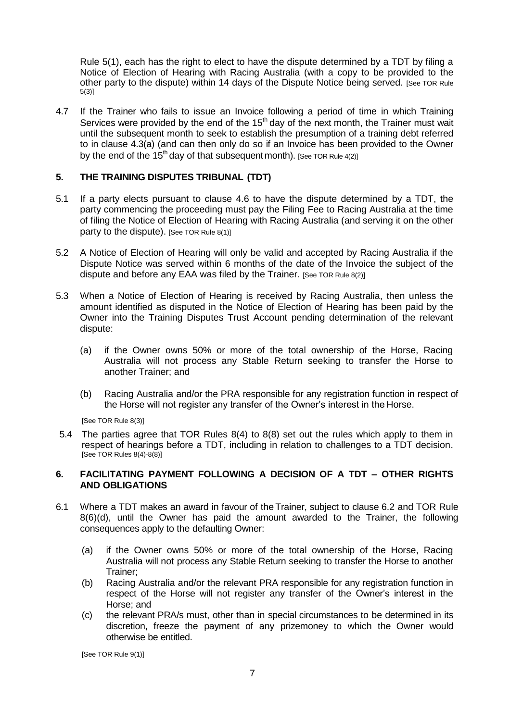Rule 5(1), each has the right to elect to have the dispute determined by a TDT by filing a Notice of Election of Hearing with Racing Australia (with a copy to be provided to the other party to the dispute) within 14 days of the Dispute Notice being served. [See TOR Rule 5(3)]

4.7 If the Trainer who fails to issue an Invoice following a period of time in which Training Services were provided by the end of the  $15<sup>th</sup>$  day of the next month, the Trainer must wait until the subsequent month to seek to establish the presumption of a training debt referred to in clause 4.3(a) (and can then only do so if an Invoice has been provided to the Owner by the end of the 15<sup>th</sup> day of that subsequent month). [See TOR Rule 4(2)]

# **5. THE TRAINING DISPUTES TRIBUNAL (TDT)**

- 5.1 If a party elects pursuant to clause 4.6 to have the dispute determined by a TDT, the party commencing the proceeding must pay the Filing Fee to Racing Australia at the time of filing the Notice of Election of Hearing with Racing Australia (and serving it on the other party to the dispute). [See TOR Rule 8(1)]
- 5.2 A Notice of Election of Hearing will only be valid and accepted by Racing Australia if the Dispute Notice was served within 6 months of the date of the Invoice the subject of the dispute and before any EAA was filed by the Trainer. [See TOR Rule 8(2)]
- 5.3 When a Notice of Election of Hearing is received by Racing Australia, then unless the amount identified as disputed in the Notice of Election of Hearing has been paid by the Owner into the Training Disputes Trust Account pending determination of the relevant dispute:
	- (a) if the Owner owns 50% or more of the total ownership of the Horse, Racing Australia will not process any Stable Return seeking to transfer the Horse to another Trainer; and
	- (b) Racing Australia and/or the PRA responsible for any registration function in respect of the Horse will not register any transfer of the Owner's interest in the Horse.

[See TOR Rule 8(3)]

5.4 The parties agree that TOR Rules 8(4) to 8(8) set out the rules which apply to them in respect of hearings before a TDT, including in relation to challenges to a TDT decision. [See TOR Rules 8(4)-8(8)]

# **6. FACILITATING PAYMENT FOLLOWING A DECISION OF A TDT – OTHER RIGHTS AND OBLIGATIONS**

- 6.1 Where a TDT makes an award in favour of the Trainer, subject to clause 6.2 and TOR Rule 8(6)(d), until the Owner has paid the amount awarded to the Trainer, the following consequences apply to the defaulting Owner:
	- (a) if the Owner owns 50% or more of the total ownership of the Horse, Racing Australia will not process any Stable Return seeking to transfer the Horse to another Trainer;
	- (b) Racing Australia and/or the relevant PRA responsible for any registration function in respect of the Horse will not register any transfer of the Owner's interest in the Horse; and
	- (c) the relevant PRA/s must, other than in special circumstances to be determined in its discretion, freeze the payment of any prizemoney to which the Owner would otherwise be entitled.

[See TOR Rule 9(1)]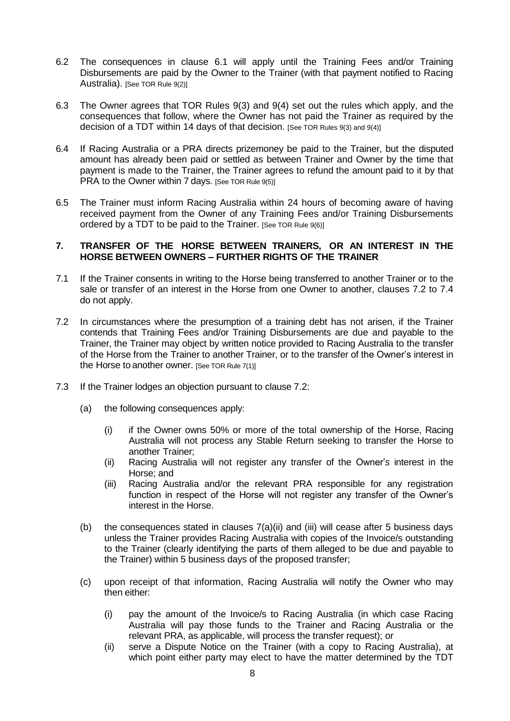- 6.2 The consequences in clause 6.1 will apply until the Training Fees and/or Training Disbursements are paid by the Owner to the Trainer (with that payment notified to Racing Australia). [See TOR Rule 9(2)]
- 6.3 The Owner agrees that TOR Rules 9(3) and 9(4) set out the rules which apply, and the consequences that follow, where the Owner has not paid the Trainer as required by the decision of a TDT within 14 days of that decision. [See TOR Rules 9(3) and 9(4)]
- 6.4 If Racing Australia or a PRA directs prizemoney be paid to the Trainer, but the disputed amount has already been paid or settled as between Trainer and Owner by the time that payment is made to the Trainer, the Trainer agrees to refund the amount paid to it by that PRA to the Owner within 7 days. [See TOR Rule 9(5)]
- 6.5 The Trainer must inform Racing Australia within 24 hours of becoming aware of having received payment from the Owner of any Training Fees and/or Training Disbursements ordered by a TDT to be paid to the Trainer. [See TOR Rule 9(6)]

#### **7. TRANSFER OF THE HORSE BETWEEN TRAINERS, OR AN INTEREST IN THE HORSE BETWEEN OWNERS – FURTHER RIGHTS OF THE TRAINER**

- 7.1 If the Trainer consents in writing to the Horse being transferred to another Trainer or to the sale or transfer of an interest in the Horse from one Owner to another, clauses 7.2 to 7.4 do not apply.
- 7.2 In circumstances where the presumption of a training debt has not arisen, if the Trainer contends that Training Fees and/or Training Disbursements are due and payable to the Trainer, the Trainer may object by written notice provided to Racing Australia to the transfer of the Horse from the Trainer to another Trainer, or to the transfer of the Owner's interest in the Horse to another owner. [See TOR Rule 7(1)]
- 7.3 If the Trainer lodges an objection pursuant to clause 7.2:
	- (a) the following consequences apply:
		- (i) if the Owner owns 50% or more of the total ownership of the Horse, Racing Australia will not process any Stable Return seeking to transfer the Horse to another Trainer;
		- (ii) Racing Australia will not register any transfer of the Owner'*s* interest in the Horse; and
		- (iii) Racing Australia and/or the relevant PRA responsible for any registration function in respect of the Horse will not register any transfer of the Owner's interest in the Horse.
	- (b) the consequences stated in clauses  $7(a)(ii)$  and (iii) will cease after 5 business days unless the Trainer provides Racing Australia with copies of the Invoice/s outstanding to the Trainer (clearly identifying the parts of them alleged to be due and payable to the Trainer) within 5 business days of the proposed transfer;
	- (c) upon receipt of that information, Racing Australia will notify the Owner who may then either:
		- (i) pay the amount of the Invoice/s to Racing Australia (in which case Racing Australia will pay those funds to the Trainer and Racing Australia or the relevant PRA, as applicable, will process the transfer request); or
		- (ii) serve a Dispute Notice on the Trainer (with a copy to Racing Australia), at which point either party may elect to have the matter determined by the TDT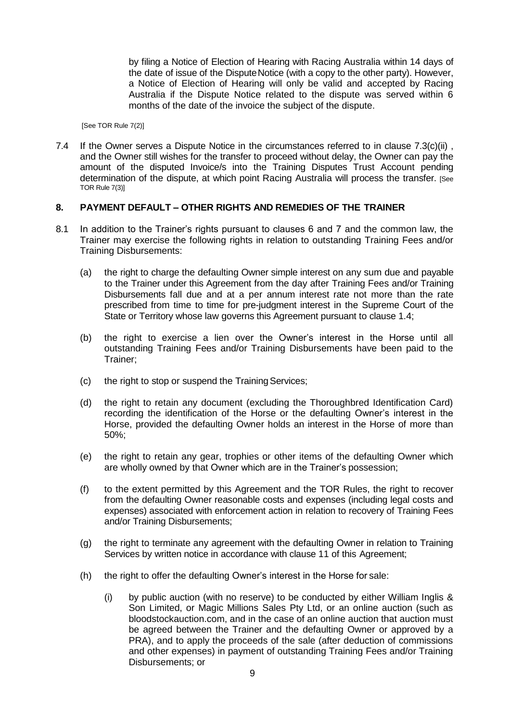by filing a Notice of Election of Hearing with Racing Australia within 14 days of the date of issue of the DisputeNotice (with a copy to the other party). However, a Notice of Election of Hearing will only be valid and accepted by Racing Australia if the Dispute Notice related to the dispute was served within 6 months of the date of the invoice the subject of the dispute.

[See TOR Rule 7(2)]

7.4 If the Owner serves a Dispute Notice in the circumstances referred to in clause  $7.3(c)(ii)$ , and the Owner still wishes for the transfer to proceed without delay, the Owner can pay the amount of the disputed Invoice/s into the Training Disputes Trust Account pending determination of the dispute, at which point Racing Australia will process the transfer. [See TOR Rule 7(3)]

# **8. PAYMENT DEFAULT – OTHER RIGHTS AND REMEDIES OF THE TRAINER**

- 8.1 In addition to the Trainer's rights pursuant to clauses 6 and 7 and the common law, the Trainer may exercise the following rights in relation to outstanding Training Fees and/or Training Disbursements:
	- (a) the right to charge the defaulting Owner simple interest on any sum due and payable to the Trainer under this Agreement from the day after Training Fees and/or Training Disbursements fall due and at a per annum interest rate not more than the rate prescribed from time to time for pre-judgment interest in the Supreme Court of the State or Territory whose law governs this Agreement pursuant to clause 1.4;
	- (b) the right to exercise a lien over the Owner's interest in the Horse until all outstanding Training Fees and/or Training Disbursements have been paid to the Trainer;
	- (c) the right to stop or suspend the Training Services;
	- (d) the right to retain any document (excluding the Thoroughbred Identification Card) recording the identification of the Horse or the defaulting Owner's interest in the Horse, provided the defaulting Owner holds an interest in the Horse of more than 50%;
	- (e) the right to retain any gear, trophies or other items of the defaulting Owner which are wholly owned by that Owner which are in the Trainer's possession;
	- (f) to the extent permitted by this Agreement and the TOR Rules, the right to recover from the defaulting Owner reasonable costs and expenses (including legal costs and expenses) associated with enforcement action in relation to recovery of Training Fees and/or Training Disbursements;
	- (g) the right to terminate any agreement with the defaulting Owner in relation to Training Services by written notice in accordance with clause 11 of this Agreement;
	- (h) the right to offer the defaulting Owner's interest in the Horse for sale:
		- (i) by public auction (with no reserve) to be conducted by either William Inglis & Son Limited, or Magic Millions Sales Pty Ltd, or an online auction (such as bloodstockauction.com, and in the case of an online auction that auction must be agreed between the Trainer and the defaulting Owner or approved by a PRA), and to apply the proceeds of the sale (after deduction of commissions and other expenses) in payment of outstanding Training Fees and/or Training Disbursements; or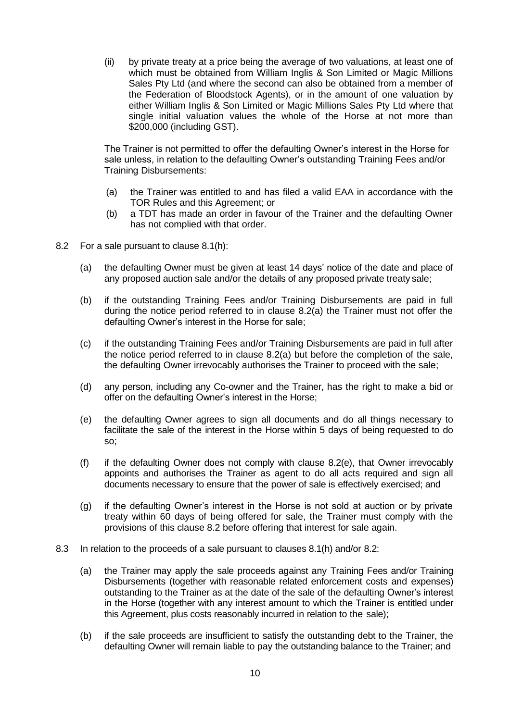(ii) by private treaty at a price being the average of two valuations, at least one of which must be obtained from William Inglis & Son Limited or Magic Millions Sales Pty Ltd (and where the second can also be obtained from a member of the Federation of Bloodstock Agents), or in the amount of one valuation by either William Inglis & Son Limited or Magic Millions Sales Pty Ltd where that single initial valuation values the whole of the Horse at not more than \$200,000 (including GST).

The Trainer is not permitted to offer the defaulting Owner's interest in the Horse for sale unless, in relation to the defaulting Owner's outstanding Training Fees and/or Training Disbursements:

- (a) the Trainer was entitled to and has filed a valid EAA in accordance with the TOR Rules and this Agreement; or
- (b) a TDT has made an order in favour of the Trainer and the defaulting Owner has not complied with that order.
- 8.2 For a sale pursuant to clause 8.1(h):
	- (a) the defaulting Owner must be given at least 14 days' notice of the date and place of any proposed auction sale and/or the details of any proposed private treaty sale;
	- (b) if the outstanding Training Fees and/or Training Disbursements are paid in full during the notice period referred to in clause 8.2(a) the Trainer must not offer the defaulting Owner's interest in the Horse for sale;
	- (c) if the outstanding Training Fees and/or Training Disbursements are paid in full after the notice period referred to in clause 8.2(a) but before the completion of the sale, the defaulting Owner irrevocably authorises the Trainer to proceed with the sale;
	- (d) any person, including any Co-owner and the Trainer, has the right to make a bid or offer on the defaulting Owner's interest in the Horse;
	- (e) the defaulting Owner agrees to sign all documents and do all things necessary to facilitate the sale of the interest in the Horse within 5 days of being requested to do so;
	- (f) if the defaulting Owner does not comply with clause 8.2(e), that Owner irrevocably appoints and authorises the Trainer as agent to do all acts required and sign all documents necessary to ensure that the power of sale is effectively exercised; and
	- (g) if the defaulting Owner's interest in the Horse is not sold at auction or by private treaty within 60 days of being offered for sale, the Trainer must comply with the provisions of this clause 8.2 before offering that interest for sale again.
- 8.3 In relation to the proceeds of a sale pursuant to clauses 8.1(h) and/or 8.2:
	- (a) the Trainer may apply the sale proceeds against any Training Fees and/or Training Disbursements (together with reasonable related enforcement costs and expenses) outstanding to the Trainer as at the date of the sale of the defaulting Owner's interest in the Horse (together with any interest amount to which the Trainer is entitled under this Agreement, plus costs reasonably incurred in relation to the sale);
	- (b) if the sale proceeds are insufficient to satisfy the outstanding debt to the Trainer, the defaulting Owner will remain liable to pay the outstanding balance to the Trainer; and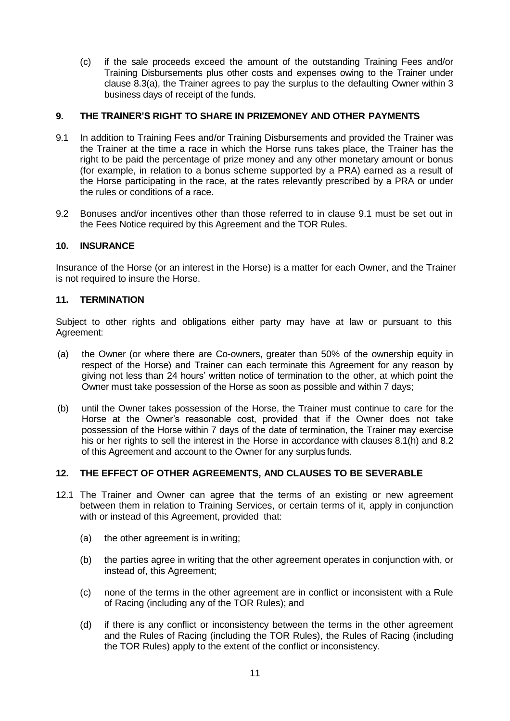(c) if the sale proceeds exceed the amount of the outstanding Training Fees and/or Training Disbursements plus other costs and expenses owing to the Trainer under clause 8.3(a), the Trainer agrees to pay the surplus to the defaulting Owner within 3 business days of receipt of the funds.

# **9. THE TRAINER'S RIGHT TO SHARE IN PRIZEMONEY AND OTHER PAYMENTS**

- 9.1 In addition to Training Fees and/or Training Disbursements and provided the Trainer was the Trainer at the time a race in which the Horse runs takes place, the Trainer has the right to be paid the percentage of prize money and any other monetary amount or bonus (for example, in relation to a bonus scheme supported by a PRA) earned as a result of the Horse participating in the race, at the rates relevantly prescribed by a PRA or under the rules or conditions of a race.
- 9.2 Bonuses and/or incentives other than those referred to in clause 9.1 must be set out in the Fees Notice required by this Agreement and the TOR Rules.

# **10. INSURANCE**

Insurance of the Horse (or an interest in the Horse) is a matter for each Owner, and the Trainer is not required to insure the Horse.

# **11. TERMINATION**

Subject to other rights and obligations either party may have at law or pursuant to this Agreement:

- (a) the Owner (or where there are Co-owners, greater than 50% of the ownership equity in respect of the Horse) and Trainer can each terminate this Agreement for any reason by giving not less than 24 hours' written notice of termination to the other, at which point the Owner must take possession of the Horse as soon as possible and within 7 days;
- (b) until the Owner takes possession of the Horse, the Trainer must continue to care for the Horse at the Owner's reasonable cost, provided that if the Owner does not take possession of the Horse within 7 days of the date of termination, the Trainer may exercise his or her rights to sell the interest in the Horse in accordance with clauses 8.1(h) and 8.2 of this Agreement and account to the Owner for any surplus funds.

# **12. THE EFFECT OF OTHER AGREEMENTS, AND CLAUSES TO BE SEVERABLE**

- 12.1 The Trainer and Owner can agree that the terms of an existing or new agreement between them in relation to Training Services, or certain terms of it, apply in conjunction with or instead of this Agreement, provided that:
	- (a) the other agreement is in writing;
	- (b) the parties agree in writing that the other agreement operates in conjunction with, or instead of, this Agreement;
	- (c) none of the terms in the other agreement are in conflict or inconsistent with a Rule of Racing (including any of the TOR Rules); and
	- (d) if there is any conflict or inconsistency between the terms in the other agreement and the Rules of Racing (including the TOR Rules), the Rules of Racing (including the TOR Rules) apply to the extent of the conflict or inconsistency.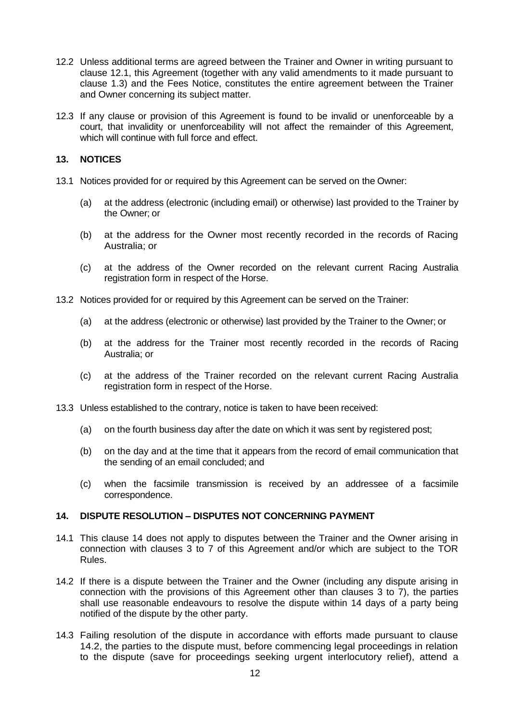- 12.2 Unless additional terms are agreed between the Trainer and Owner in writing pursuant to clause 12.1, this Agreement (together with any valid amendments to it made pursuant to clause 1.3) and the Fees Notice, constitutes the entire agreement between the Trainer and Owner concerning its subject matter.
- 12.3 If any clause or provision of this Agreement is found to be invalid or unenforceable by a court, that invalidity or unenforceability will not affect the remainder of this Agreement, which will continue with full force and effect.

# **13. NOTICES**

- 13.1 Notices provided for or required by this Agreement can be served on the Owner:
	- (a) at the address (electronic (including email) or otherwise) last provided to the Trainer by the Owner; or
	- (b) at the address for the Owner most recently recorded in the records of Racing Australia; or
	- (c) at the address of the Owner recorded on the relevant current Racing Australia registration form in respect of the Horse.
- 13.2 Notices provided for or required by this Agreement can be served on the Trainer:
	- (a) at the address (electronic or otherwise) last provided by the Trainer to the Owner; or
	- (b) at the address for the Trainer most recently recorded in the records of Racing Australia; or
	- (c) at the address of the Trainer recorded on the relevant current Racing Australia registration form in respect of the Horse.
- 13.3 Unless established to the contrary, notice is taken to have been received:
	- (a) on the fourth business day after the date on which it was sent by registered post;
	- (b) on the day and at the time that it appears from the record of email communication that the sending of an email concluded; and
	- (c) when the facsimile transmission is received by an addressee of a facsimile correspondence.

# **14. DISPUTE RESOLUTION – DISPUTES NOT CONCERNING PAYMENT**

- 14.1 This clause 14 does not apply to disputes between the Trainer and the Owner arising in connection with clauses 3 to 7 of this Agreement and/or which are subject to the TOR Rules.
- 14.2 If there is a dispute between the Trainer and the Owner (including any dispute arising in connection with the provisions of this Agreement other than clauses 3 to 7), the parties shall use reasonable endeavours to resolve the dispute within 14 days of a party being notified of the dispute by the other party.
- 14.3 Failing resolution of the dispute in accordance with efforts made pursuant to clause 14.2, the parties to the dispute must, before commencing legal proceedings in relation to the dispute (save for proceedings seeking urgent interlocutory relief), attend a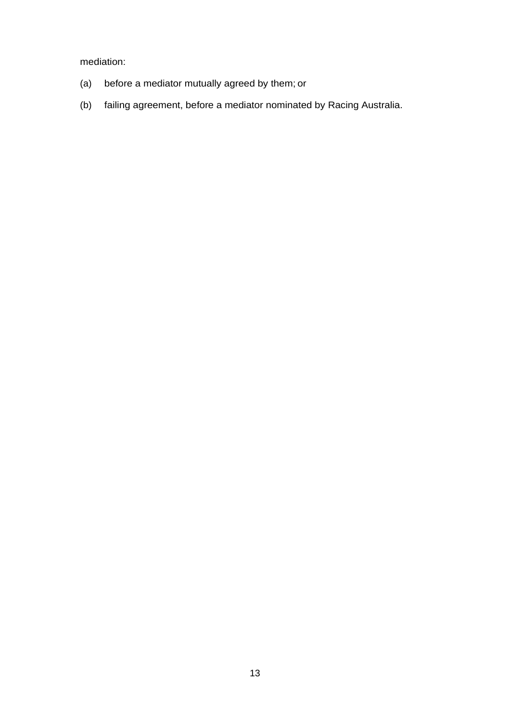mediation:

- (a) before a mediator mutually agreed by them; or
- (b) failing agreement, before a mediator nominated by Racing Australia.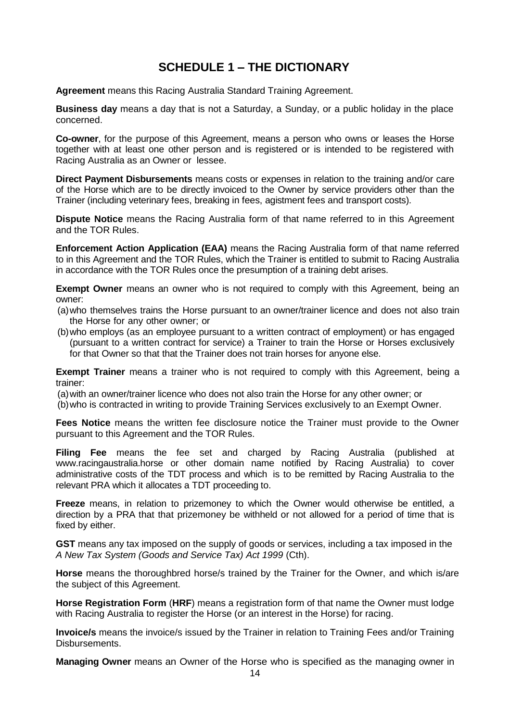# **SCHEDULE 1 – THE DICTIONARY**

**Agreement** means this Racing Australia Standard Training Agreement.

**Business day** means a day that is not a Saturday, a Sunday, or a public holiday in the place concerned.

**Co-owner**, for the purpose of this Agreement, means a person who owns or leases the Horse together with at least one other person and is registered or is intended to be registered with Racing Australia as an Owner or lessee.

**Direct Payment Disbursements** means costs or expenses in relation to the training and/or care of the Horse which are to be directly invoiced to the Owner by service providers other than the Trainer (including veterinary fees, breaking in fees, agistment fees and transport costs).

**Dispute Notice** means the Racing Australia form of that name referred to in this Agreement and the TOR Rules.

**Enforcement Action Application (EAA)** means the Racing Australia form of that name referred to in this Agreement and the TOR Rules, which the Trainer is entitled to submit to Racing Australia in accordance with the TOR Rules once the presumption of a training debt arises.

**Exempt Owner** means an owner who is not required to comply with this Agreement, being an owner:

- (a)who themselves trains the Horse pursuant to an owner/trainer licence and does not also train the Horse for any other owner; or
- (b)who employs (as an employee pursuant to a written contract of employment) or has engaged (pursuant to a written contract for service) a Trainer to train the Horse or Horses exclusively for that Owner so that that the Trainer does not train horses for anyone else.

**Exempt Trainer** means a trainer who is not required to comply with this Agreement, being a trainer:

(a)with an owner/trainer licence who does not also train the Horse for any other owner; or

(b)who is contracted in writing to provide Training Services exclusively to an Exempt Owner.

**Fees Notice** means the written fee disclosure notice the Trainer must provide to the Owner pursuant to this Agreement and the TOR Rules.

**Filing Fee** means the fee set and charged by Racing Australia (published at [www.racingaustralia.horse](http://www.racingaustralia.horse/) or other domain name notified by Racing Australia) to cover administrative costs of the TDT process and which is to be remitted by Racing Australia to the relevant PRA which it allocates a TDT proceeding to.

**Freeze** means, in relation to prizemoney to which the Owner would otherwise be entitled, a direction by a PRA that that prizemoney be withheld or not allowed for a period of time that is fixed by either.

**GST** means any tax imposed on the supply of goods or services, including a tax imposed in the *A New Tax System (Goods and Service Tax) Act 1999* (Cth).

**Horse** means the thoroughbred horse/s trained by the Trainer for the Owner, and which is/are the subject of this Agreement.

**Horse Registration Form** (**HRF**) means a registration form of that name the Owner must lodge with Racing Australia to register the Horse (or an interest in the Horse) for racing.

**Invoice/s** means the invoice/s issued by the Trainer in relation to Training Fees and/or Training Disbursements.

**Managing Owner** means an Owner of the Horse who is specified as the managing owner in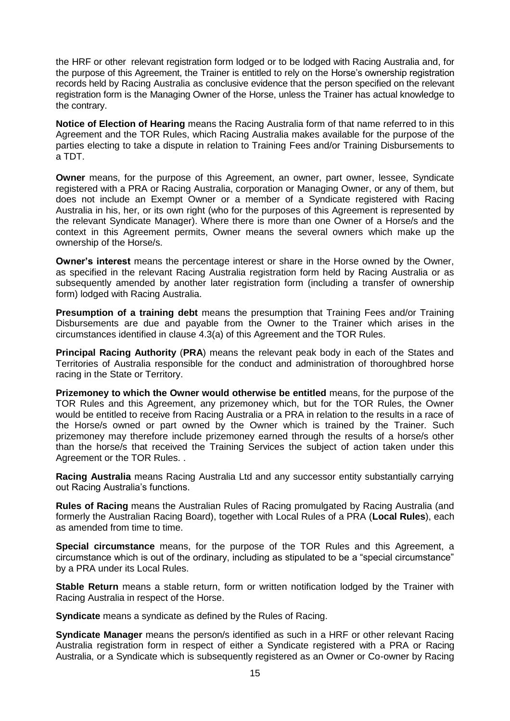the HRF or other relevant registration form lodged or to be lodged with Racing Australia and, for the purpose of this Agreement, the Trainer is entitled to rely on the Horse's ownership registration records held by Racing Australia as conclusive evidence that the person specified on the relevant registration form is the Managing Owner of the Horse, unless the Trainer has actual knowledge to the contrary.

**Notice of Election of Hearing** means the Racing Australia form of that name referred to in this Agreement and the TOR Rules, which Racing Australia makes available for the purpose of the parties electing to take a dispute in relation to Training Fees and/or Training Disbursements to a TDT.

**Owner** means, for the purpose of this Agreement, an owner, part owner, lessee, Syndicate registered with a PRA or Racing Australia, corporation or Managing Owner, or any of them, but does not include an Exempt Owner or a member of a Syndicate registered with Racing Australia in his, her, or its own right (who for the purposes of this Agreement is represented by the relevant Syndicate Manager). Where there is more than one Owner of a Horse/s and the context in this Agreement permits, Owner means the several owners which make up the ownership of the Horse/s.

**Owner's interest** means the percentage interest or share in the Horse owned by the Owner, as specified in the relevant Racing Australia registration form held by Racing Australia or as subsequently amended by another later registration form (including a transfer of ownership form) lodged with Racing Australia.

**Presumption of a training debt** means the presumption that Training Fees and/or Training Disbursements are due and payable from the Owner to the Trainer which arises in the circumstances identified in clause 4.3(a) of this Agreement and the TOR Rules.

**Principal Racing Authority** (**PRA**) means the relevant peak body in each of the States and Territories of Australia responsible for the conduct and administration of thoroughbred horse racing in the State or Territory.

**Prizemoney to which the Owner would otherwise be entitled** means, for the purpose of the TOR Rules and this Agreement, any prizemoney which, but for the TOR Rules, the Owner would be entitled to receive from Racing Australia or a PRA in relation to the results in a race of the Horse/s owned or part owned by the Owner which is trained by the Trainer. Such prizemoney may therefore include prizemoney earned through the results of a horse/s other than the horse/s that received the Training Services the subject of action taken under this Agreement or the TOR Rules. .

**Racing Australia** means Racing Australia Ltd and any successor entity substantially carrying out Racing Australia's functions.

**Rules of Racing** means the Australian Rules of Racing promulgated by Racing Australia (and formerly the Australian Racing Board), together with Local Rules of a PRA (**Local Rules**), each as amended from time to time.

**Special circumstance** means, for the purpose of the TOR Rules and this Agreement, a circumstance which is out of the ordinary, including as stipulated to be a "special circumstance" by a PRA under its Local Rules.

**Stable Return** means a stable return, form or written notification lodged by the Trainer with Racing Australia in respect of the Horse.

**Syndicate** means a syndicate as defined by the Rules of Racing.

**Syndicate Manager** means the person/s identified as such in a HRF or other relevant Racing Australia registration form in respect of either a Syndicate registered with a PRA or Racing Australia, or a Syndicate which is subsequently registered as an Owner or Co-owner by Racing